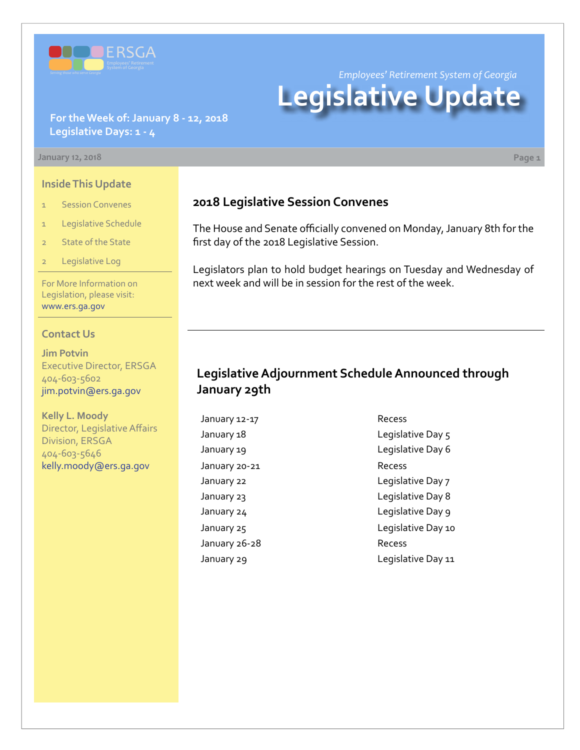

*Employees' Retirement System of Georgia*

# **Legislative Update**

#### **For the Week of: January 8 - 12, 2018 Legislative Days: 1 - 4**

#### **January 12, 2018 Page 1**

**Inside This Update**

- 1 Session Convenes
- 1 Legislative Schedule
- 2 State of the State
- 2 Legislative Log

For More Information on Legislation, please visit: [www.ers.ga.gov](http://www.ers.ga.gov/default.aspx)

#### **Contact Us**

**Jim Potvin** Executive Director, ERSGA 404-603-5602 jim.potvin@ers.ga.gov

**Kelly L. Moody** Director, Legislative Affairs Division, ERSGA 404-603-5646 kelly.moody@ers.ga.gov

#### **2018 Legislative Session Convenes**

The House and Senate officially convened on Monday, January 8th for the first day of the 2018 Legislative Session.

Legislators plan to hold budget hearings on Tuesday and Wednesday of next week and will be in session for the rest of the week.

### **Legislative Adjournment Schedule Announced through January 29th**

January 12-17 Recess January 20-21 Recess January 26-28 Recess

January 18 **Legislative Day 5** January 19 diagnosis of the United States Legislative Day 6 January 22 **Legislative Day 7** January 23 **Legislative Day 8** January 24 diagonal contract to the Legislative Day 9 January 25 **Legislative Day 10** January 29 **Legislative Day 11**